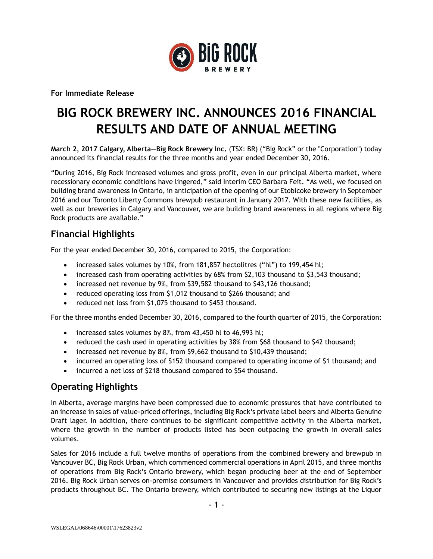

**For Immediate Release**

# **BIG ROCK BREWERY INC. ANNOUNCES 2016 FINANCIAL RESULTS AND DATE OF ANNUAL MEETING**

**March 2, 2017 Calgary, Alberta—Big Rock Brewery Inc.** (TSX: BR) ("Big Rock" or the "Corporation") today announced its financial results for the three months and year ended December 30, 2016.

"During 2016, Big Rock increased volumes and gross profit, even in our principal Alberta market, where recessionary economic conditions have lingered," said Interim CEO Barbara Feit. "As well, we focused on building brand awareness in Ontario, in anticipation of the opening of our Etobicoke brewery in September 2016 and our Toronto Liberty Commons brewpub restaurant in January 2017. With these new facilities, as well as our breweries in Calgary and Vancouver, we are building brand awareness in all regions where Big Rock products are available."

#### **Financial Highlights**

For the year ended December 30, 2016, compared to 2015, the Corporation:

- increased sales volumes by 10%, from 181,857 hectolitres ("hl") to 199,454 hl;
- increased cash from operating activities by 68% from \$2,103 thousand to \$3,543 thousand;
- increased net revenue by 9%, from \$39,582 thousand to \$43,126 thousand;
- reduced operating loss from \$1,012 thousand to \$266 thousand; and
- reduced net loss from \$1,075 thousand to \$453 thousand.

For the three months ended December 30, 2016, compared to the fourth quarter of 2015, the Corporation:

- increased sales volumes by 8%, from 43,450 hl to 46,993 hl;
- reduced the cash used in operating activities by 38% from \$68 thousand to \$42 thousand;
- increased net revenue by 8%, from \$9,662 thousand to \$10,439 thousand;
- incurred an operating loss of \$152 thousand compared to operating income of \$1 thousand; and
- incurred a net loss of \$218 thousand compared to \$54 thousand.

## **Operating Highlights**

In Alberta, average margins have been compressed due to economic pressures that have contributed to an increase in sales of value-priced offerings, including Big Rock's private label beers and Alberta Genuine Draft lager. In addition, there continues to be significant competitive activity in the Alberta market, where the growth in the number of products listed has been outpacing the growth in overall sales volumes.

Sales for 2016 include a full twelve months of operations from the combined brewery and brewpub in Vancouver BC, Big Rock Urban, which commenced commercial operations in April 2015, and three months of operations from Big Rock's Ontario brewery, which began producing beer at the end of September 2016. Big Rock Urban serves on-premise consumers in Vancouver and provides distribution for Big Rock's products throughout BC. The Ontario brewery, which contributed to securing new listings at the Liquor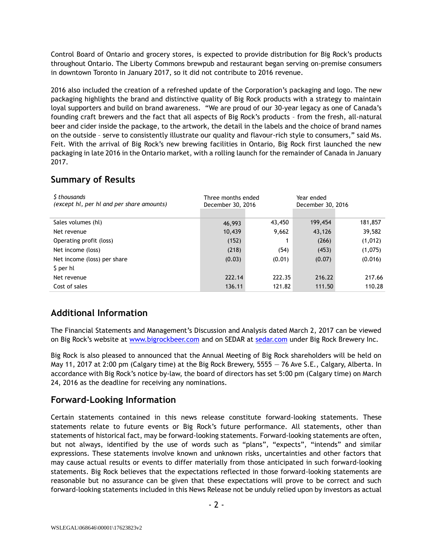Control Board of Ontario and grocery stores, is expected to provide distribution for Big Rock's products throughout Ontario. The Liberty Commons brewpub and restaurant began serving on-premise consumers in downtown Toronto in January 2017, so it did not contribute to 2016 revenue.

2016 also included the creation of a refreshed update of the Corporation's packaging and logo. The new packaging highlights the brand and distinctive quality of Big Rock products with a strategy to maintain loyal supporters and build on brand awareness. "We are proud of our 30-year legacy as one of Canada's founding craft brewers and the fact that all aspects of Big Rock's products – from the fresh, all-natural beer and cider inside the package, to the artwork, the detail in the labels and the choice of brand names on the outside – serve to consistently illustrate our quality and flavour-rich style to consumers," said Ms. Feit. With the arrival of Big Rock's new brewing facilities in Ontario, Big Rock first launched the new packaging in late 2016 in the Ontario market, with a rolling launch for the remainder of Canada in January 2017.

## **Summary of Results**

| S thousands<br>(except hl, per hl and per share amounts) | Three months ended<br>December 30, 2016 |        | Year ended<br>December 30, 2016 |         |
|----------------------------------------------------------|-----------------------------------------|--------|---------------------------------|---------|
|                                                          |                                         |        |                                 |         |
| Sales volumes (hl)                                       | 46,993                                  | 43,450 | 199,454                         | 181,857 |
| Net revenue                                              | 10,439                                  | 9,662  | 43,126                          | 39,582  |
| Operating profit (loss)                                  | (152)                                   |        | (266)                           | (1,012) |
| Net income (loss)                                        | (218)                                   | (54)   | (453)                           | (1,075) |
| Net income (loss) per share                              | (0.03)                                  | (0.01) | (0.07)                          | (0.016) |
| \$ per hl                                                |                                         |        |                                 |         |
| Net revenue                                              | 222.14                                  | 222.35 | 216.22                          | 217.66  |
| Cost of sales                                            | 136.11                                  | 121.82 | 111.50                          | 110.28  |

# **Additional Information**

The Financial Statements and Management's Discussion and Analysis dated March 2, 2017 can be viewed on Big Rock's website at [www.bigrockbeer.com](http://www.bigrockbeer.com/) and on SEDAR at [sedar.com](http://www.sedar.com/) under Big Rock Brewery Inc.

Big Rock is also pleased to announced that the Annual Meeting of Big Rock shareholders will be held on May 11, 2017 at 2:00 pm (Calgary time) at the Big Rock Brewery, 5555 — 76 Ave S.E., Calgary, Alberta. In accordance with Big Rock's notice by-law, the board of directors has set 5:00 pm (Calgary time) on March 24, 2016 as the deadline for receiving any nominations.

## **Forward-Looking Information**

Certain statements contained in this news release constitute forward-looking statements. These statements relate to future events or Big Rock's future performance. All statements, other than statements of historical fact, may be forward-looking statements. Forward-looking statements are often, but not always, identified by the use of words such as "plans", "expects", "intends" and similar expressions. These statements involve known and unknown risks, uncertainties and other factors that may cause actual results or events to differ materially from those anticipated in such forward-looking statements. Big Rock believes that the expectations reflected in those forward-looking statements are reasonable but no assurance can be given that these expectations will prove to be correct and such forward-looking statements included in this News Release not be unduly relied upon by investors as actual